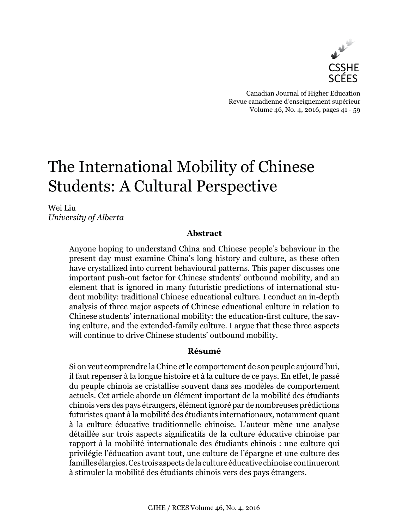

Canadian Journal of Higher Education Revue canadienne d'enseignement supérieur Volume 46, No. 4, 2016, pages 41 - 59

# The International Mobility of Chinese Students: A Cultural Perspective

Wei Liu *University of Alberta*

## **Abstract**

Anyone hoping to understand China and Chinese people's behaviour in the present day must examine China's long history and culture, as these often have crystallized into current behavioural patterns. This paper discusses one important push-out factor for Chinese students' outbound mobility, and an element that is ignored in many futuristic predictions of international student mobility: traditional Chinese educational culture. I conduct an in-depth analysis of three major aspects of Chinese educational culture in relation to Chinese students' international mobility: the education-first culture, the saving culture, and the extended-family culture. I argue that these three aspects will continue to drive Chinese students' outbound mobility.

## **Résumé**

Si on veut comprendre la Chine et le comportement de son peuple aujourd'hui, il faut repenser à la longue histoire et à la culture de ce pays. En effet, le passé du peuple chinois se cristallise souvent dans ses modèles de comportement actuels. Cet article aborde un élément important de la mobilité des étudiants chinois vers des pays étrangers, élément ignoré par de nombreuses prédictions futuristes quant à la mobilité des étudiants internationaux, notamment quant à la culture éducative traditionnelle chinoise. L'auteur mène une analyse détaillée sur trois aspects significatifs de la culture éducative chinoise par rapport à la mobilité internationale des étudiants chinois : une culture qui privilégie l'éducation avant tout, une culture de l'épargne et une culture des familles élargies. Ces trois aspects de la culture éducative chinoise continueront à stimuler la mobilité des étudiants chinois vers des pays étrangers.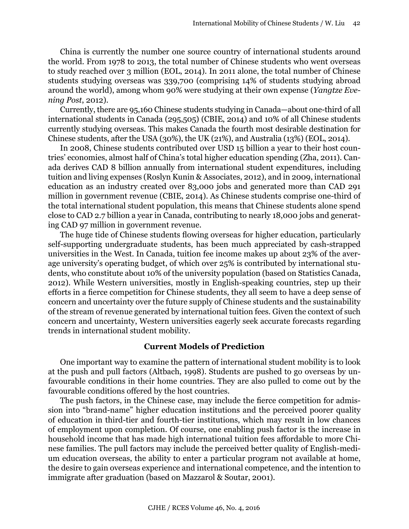China is currently the number one source country of international students around the world. From 1978 to 2013, the total number of Chinese students who went overseas to study reached over 3 million (EOL, 2014). In 2011 alone, the total number of Chinese students studying overseas was 339,700 (comprising 14% of students studying abroad around the world), among whom 90% were studying at their own expense (*Yangtze Evening Post*, 2012).

Currently, there are 95,160 Chinese students studying in Canada—about one-third of all international students in Canada (295,505) (CBIE, 2014) and 10% of all Chinese students currently studying overseas. This makes Canada the fourth most desirable destination for Chinese students, after the USA (30%), the UK (21%), and Australia (13%) (EOL, 2014).

In 2008, Chinese students contributed over USD 15 billion a year to their host countries' economies, almost half of China's total higher education spending (Zha, 2011). Canada derives CAD 8 billion annually from international student expenditures, including tuition and living expenses (Roslyn Kunin & Associates, 2012), and in 2009, international education as an industry created over 83,000 jobs and generated more than CAD 291 million in government revenue (CBIE, 2014). As Chinese students comprise one-third of the total international student population, this means that Chinese students alone spend close to CAD 2.7 billion a year in Canada, contributing to nearly 18,000 jobs and generating CAD 97 million in government revenue.

The huge tide of Chinese students flowing overseas for higher education, particularly self-supporting undergraduate students, has been much appreciated by cash-strapped universities in the West. In Canada, tuition fee income makes up about 23% of the average university's operating budget, of which over 25% is contributed by international students, who constitute about 10% of the university population (based on Statistics Canada, 2012). While Western universities, mostly in English-speaking countries, step up their efforts in a fierce competition for Chinese students, they all seem to have a deep sense of concern and uncertainty over the future supply of Chinese students and the sustainability of the stream of revenue generated by international tuition fees. Given the context of such concern and uncertainty, Western universities eagerly seek accurate forecasts regarding trends in international student mobility.

## **Current Models of Prediction**

One important way to examine the pattern of international student mobility is to look at the push and pull factors (Altbach, 1998). Students are pushed to go overseas by unfavourable conditions in their home countries. They are also pulled to come out by the favourable conditions offered by the host countries.

The push factors, in the Chinese case, may include the fierce competition for admission into "brand-name" higher education institutions and the perceived poorer quality of education in third-tier and fourth-tier institutions, which may result in low chances of employment upon completion. Of course, one enabling push factor is the increase in household income that has made high international tuition fees affordable to more Chinese families. The pull factors may include the perceived better quality of English-medium education overseas, the ability to enter a particular program not available at home, the desire to gain overseas experience and international competence, and the intention to immigrate after graduation (based on Mazzarol & Soutar, 2001).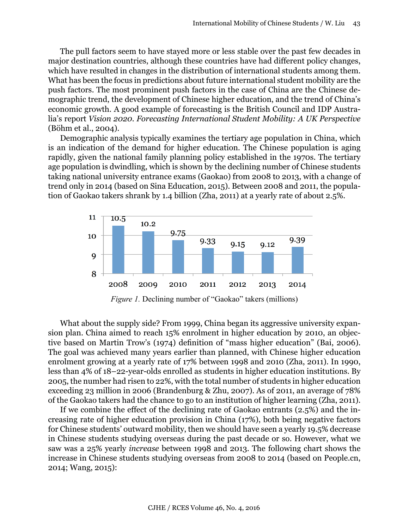The pull factors seem to have stayed more or less stable over the past few decades in major destination countries, although these countries have had different policy changes, which have resulted in changes in the distribution of international students among them. What has been the focus in predictions about future international student mobility are the push factors. The most prominent push factors in the case of China are the Chinese demographic trend, the development of Chinese higher education, and the trend of China's economic growth. A good example of forecasting is the British Council and IDP Australia's report *Vision 2020. Forecasting International Student Mobility: A UK Perspective* (Böhm et al., 2004).

Demographic analysis typically examines the tertiary age population in China, which is an indication of the demand for higher education. The Chinese population is aging rapidly, given the national family planning policy established in the 1970s. The tertiary age population is dwindling, which is shown by the declining number of Chinese students taking national university entrance exams (Gaokao) from 2008 to 2013, with a change of trend only in 2014 (based on Sina Education, 2015). Between 2008 and 2011, the population of Gaokao takers shrank by 1.4 billion (Zha, 2011) at a yearly rate of about 2.5%.



*Figure 1.* Declining number of "Gaokao" takers (millions)

What about the supply side? From 1999, China began its aggressive university expansion plan. China aimed to reach 15% enrolment in higher education by 2010, an objective based on Martin Trow's (1974) definition of "mass higher education" (Bai, 2006). The goal was achieved many years earlier than planned, with Chinese higher education enrolment growing at a yearly rate of 17% between 1998 and 2010 (Zha, 2011). In 1990, less than 4% of 18–22-year-olds enrolled as students in higher education institutions. By 2005, the number had risen to 22%, with the total number of students in higher education exceeding 23 million in 2006 (Brandenburg & Zhu, 2007). As of 2011, an average of 78% of the Gaokao takers had the chance to go to an institution of higher learning (Zha, 2011).

If we combine the effect of the declining rate of Gaokao entrants (2.5%) and the increasing rate of higher education provision in China (17%), both being negative factors for Chinese students' outward mobility, then we should have seen a yearly 19.5% decrease in Chinese students studying overseas during the past decade or so. However, what we saw was a 25% yearly *increase* between 1998 and 2013. The following chart shows the increase in Chinese students studying overseas from 2008 to 2014 (based on People.cn, 2014; Wang, 2015):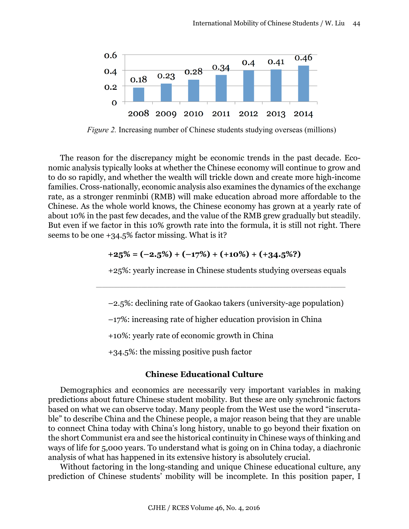

*Figure 2.* Increasing number of Chinese students studying overseas (millions)

The reason for the discrepancy might be economic trends in the past decade. Economic analysis typically looks at whether the Chinese economy will continue to grow and to do so rapidly, and whether the wealth will trickle down and create more high-income families. Cross-nationally, economic analysis also examines the dynamics of the exchange rate, as a stronger renminbi (RMB) will make education abroad more affordable to the Chinese. As the whole world knows, the Chinese economy has grown at a yearly rate of about 10% in the past few decades, and the value of the RMB grew gradually but steadily. But even if we factor in this 10% growth rate into the formula, it is still not right. There seems to be one +34.5% factor missing. What is it?

$$
+25\% = (-2.5\%) + (-17\%) + (+10\%) + (+34.5\%)
$$

+25%: yearly increase in Chinese students studying overseas equals

–2.5%: declining rate of Gaokao takers (university-age population)

 $\Box$  . The contribution of the contribution of the contribution of the contribution of the contribution of the contribution of the contribution of the contribution of the contribution of the contribution of the contributi

–17%: increasing rate of higher education provision in China

+10%: yearly rate of economic growth in China

+34.5%: the missing positive push factor

#### **Chinese Educational Culture**

Demographics and economics are necessarily very important variables in making predictions about future Chinese student mobility. But these are only synchronic factors based on what we can observe today. Many people from the West use the word "inscrutable" to describe China and the Chinese people, a major reason being that they are unable to connect China today with China's long history, unable to go beyond their fixation on the short Communist era and see the historical continuity in Chinese ways of thinking and ways of life for 5,000 years. To understand what is going on in China today, a diachronic analysis of what has happened in its extensive history is absolutely crucial.

Without factoring in the long-standing and unique Chinese educational culture, any prediction of Chinese students' mobility will be incomplete. In this position paper, I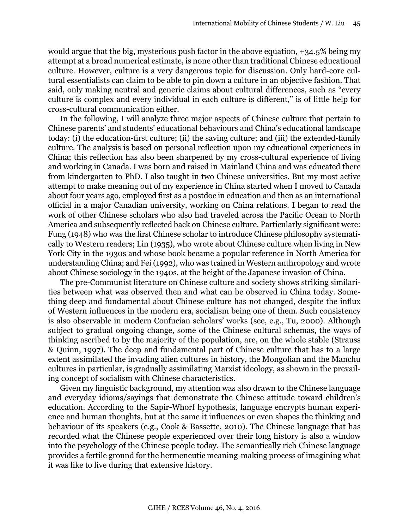would argue that the big, mysterious push factor in the above equation, +34.5% being my attempt at a broad numerical estimate, is none other than traditional Chinese educational culture. However, culture is a very dangerous topic for discussion. Only hard-core cultural essentialists can claim to be able to pin down a culture in an objective fashion. That said, only making neutral and generic claims about cultural differences, such as "every culture is complex and every individual in each culture is different," is of little help for cross-cultural communication either.

In the following, I will analyze three major aspects of Chinese culture that pertain to Chinese parents' and students' educational behaviours and China's educational landscape today: (i) the education-first culture; (ii) the saving culture; and (iii) the extended-family culture. The analysis is based on personal reflection upon my educational experiences in China; this reflection has also been sharpened by my cross-cultural experience of living and working in Canada. I was born and raised in Mainland China and was educated there from kindergarten to PhD. I also taught in two Chinese universities. But my most active attempt to make meaning out of my experience in China started when I moved to Canada about four years ago, employed first as a postdoc in education and then as an international official in a major Canadian university, working on China relations. I began to read the work of other Chinese scholars who also had traveled across the Pacific Ocean to North America and subsequently reflected back on Chinese culture. Particularly significant were: Fung (1948) who was the first Chinese scholar to introduce Chinese philosophy systematically to Western readers; Lin (1935), who wrote about Chinese culture when living in New York City in the 1930s and whose book became a popular reference in North America for understanding China; and Fei (1992), who was trained in Western anthropology and wrote about Chinese sociology in the 1940s, at the height of the Japanese invasion of China.

The pre-Communist literature on Chinese culture and society shows striking similarities between what was observed then and what can be observed in China today. Something deep and fundamental about Chinese culture has not changed, despite the influx of Western influences in the modern era, socialism being one of them. Such consistency is also observable in modern Confucian scholars' works (see, e.g., Tu, 2000). Although subject to gradual ongoing change, some of the Chinese cultural schemas, the ways of thinking ascribed to by the majority of the population, are, on the whole stable (Strauss & Quinn, 1997). The deep and fundamental part of Chinese culture that has to a large extent assimilated the invading alien cultures in history, the Mongolian and the Manchu cultures in particular, is gradually assimilating Marxist ideology, as shown in the prevailing concept of socialism with Chinese characteristics.

Given my linguistic background, my attention was also drawn to the Chinese language and everyday idioms/sayings that demonstrate the Chinese attitude toward children's education. According to the Sapir-Whorf hypothesis, language encrypts human experience and human thoughts, but at the same it influences or even shapes the thinking and behaviour of its speakers (e.g., Cook & Bassette, 2010). The Chinese language that has recorded what the Chinese people experienced over their long history is also a window into the psychology of the Chinese people today. The semantically rich Chinese language provides a fertile ground for the hermeneutic meaning-making process of imagining what it was like to live during that extensive history.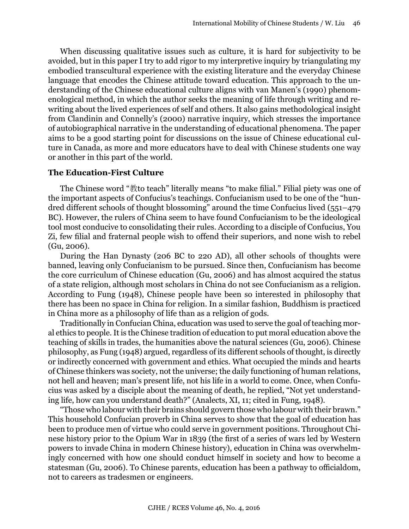When discussing qualitative issues such as culture, it is hard for subjectivity to be avoided, but in this paper I try to add rigor to my interpretive inquiry by triangulating my embodied transcultural experience with the existing literature and the everyday Chinese language that encodes the Chinese attitude toward education. This approach to the understanding of the Chinese educational culture aligns with van Manen's (1990) phenomenological method, in which the author seeks the meaning of life through writing and rewriting about the lived experiences of self and others. It also gains methodological insight from Clandinin and Connelly's (2000) narrative inquiry, which stresses the importance of autobiographical narrative in the understanding of educational phenomena. The paper aims to be a good starting point for discussions on the issue of Chinese educational culture in Canada, as more and more educators have to deal with Chinese students one way or another in this part of the world.

#### **The Education-First Culture**

The Chinese word "教to teach" literally means "to make filial." Filial piety was one of the important aspects of Confucius's teachings. Confucianism used to be one of the "hundred different schools of thought blossoming" around the time Confucius lived (551–479 BC). However, the rulers of China seem to have found Confucianism to be the ideological tool most conducive to consolidating their rules. According to a disciple of Confucius, You Zi, few filial and fraternal people wish to offend their superiors, and none wish to rebel (Gu, 2006).

During the Han Dynasty (206 BC to 220 AD), all other schools of thoughts were banned, leaving only Confucianism to be pursued. Since then, Confucianism has become the core curriculum of Chinese education (Gu, 2006) and has almost acquired the status of a state religion, although most scholars in China do not see Confucianism as a religion. According to Fung (1948), Chinese people have been so interested in philosophy that there has been no space in China for religion. In a similar fashion, Buddhism is practiced in China more as a philosophy of life than as a religion of gods.

Traditionally in Confucian China, education was used to serve the goal of teaching moral ethics to people. It is the Chinese tradition of education to put moral education above the teaching of skills in trades, the humanities above the natural sciences (Gu, 2006). Chinese philosophy, as Fung (1948) argued, regardless of its different schools of thought, is directly or indirectly concerned with government and ethics. What occupied the minds and hearts of Chinese thinkers was society, not the universe; the daily functioning of human relations, not hell and heaven; man's present life, not his life in a world to come. Once, when Confucius was asked by a disciple about the meaning of death, he replied, "Not yet understanding life, how can you understand death?" (Analects, XI, 11; cited in Fung, 1948).

"Those who labour with their brains should govern those who labour with their brawn." This household Confucian proverb in China serves to show that the goal of education has been to produce men of virtue who could serve in government positions. Throughout Chinese history prior to the Opium War in 1839 (the first of a series of wars led by Western powers to invade China in modern Chinese history), education in China was overwhelmingly concerned with how one should conduct himself in society and how to become a statesman (Gu, 2006). To Chinese parents, education has been a pathway to officialdom, not to careers as tradesmen or engineers.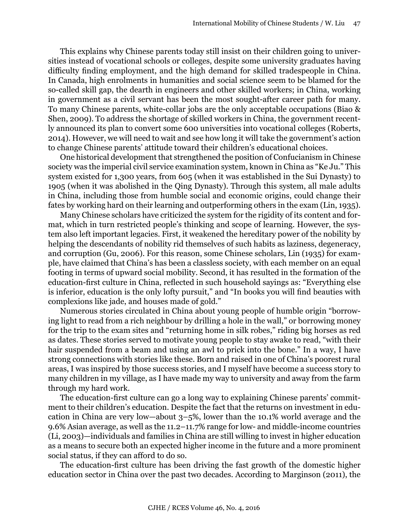This explains why Chinese parents today still insist on their children going to universities instead of vocational schools or colleges, despite some university graduates having difficulty finding employment, and the high demand for skilled tradespeople in China. In Canada, high enrolments in humanities and social science seem to be blamed for the so-called skill gap, the dearth in engineers and other skilled workers; in China, working in government as a civil servant has been the most sought-after career path for many. To many Chinese parents, white-collar jobs are the only acceptable occupations (Biao & Shen, 2009). To address the shortage of skilled workers in China, the government recently announced its plan to convert some 600 universities into vocational colleges (Roberts, 2014). However, we will need to wait and see how long it will take the government's action to change Chinese parents' attitude toward their children's educational choices.

One historical development that strengthened the position of Confucianism in Chinese society was the imperial civil service examination system, known in China as "Ke Ju." This system existed for 1,300 years, from 605 (when it was established in the Sui Dynasty) to 1905 (when it was abolished in the Qing Dynasty). Through this system, all male adults in China, including those from humble social and economic origins, could change their fates by working hard on their learning and outperforming others in the exam (Lin, 1935).

Many Chinese scholars have criticized the system for the rigidity of its content and format, which in turn restricted people's thinking and scope of learning. However, the system also left important legacies. First, it weakened the hereditary power of the nobility by helping the descendants of nobility rid themselves of such habits as laziness, degeneracy, and corruption (Gu, 2006). For this reason, some Chinese scholars, Lin (1935) for example, have claimed that China's has been a classless society, with each member on an equal footing in terms of upward social mobility. Second, it has resulted in the formation of the education-first culture in China, reflected in such household sayings as: "Everything else is inferior, education is the only lofty pursuit," and "In books you will find beauties with complexions like jade, and houses made of gold."

Numerous stories circulated in China about young people of humble origin "borrowing light to read from a rich neighbour by drilling a hole in the wall," or borrowing money for the trip to the exam sites and "returning home in silk robes," riding big horses as red as dates. These stories served to motivate young people to stay awake to read, "with their hair suspended from a beam and using an awl to prick into the bone." In a way, I have strong connections with stories like these. Born and raised in one of China's poorest rural areas, I was inspired by those success stories, and I myself have become a success story to many children in my village, as I have made my way to university and away from the farm through my hard work.

The education-first culture can go a long way to explaining Chinese parents' commitment to their children's education. Despite the fact that the returns on investment in education in China are very low—about 3–5%, lower than the 10.1% world average and the 9.6% Asian average, as well as the 11.2–11.7% range for low- and middle-income countries (Li, 2003)—individuals and families in China are still willing to invest in higher education as a means to secure both an expected higher income in the future and a more prominent social status, if they can afford to do so.

The education-first culture has been driving the fast growth of the domestic higher education sector in China over the past two decades. According to Marginson (2011), the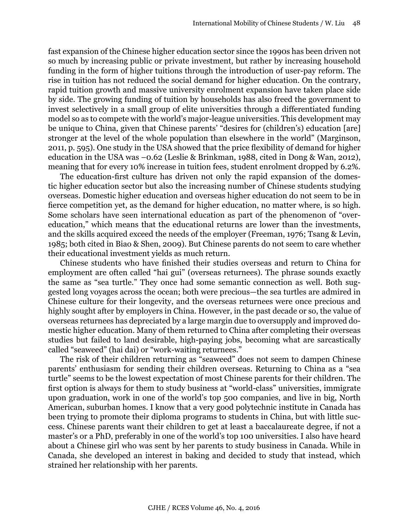fast expansion of the Chinese higher education sector since the 1990s has been driven not so much by increasing public or private investment, but rather by increasing household funding in the form of higher tuitions through the introduction of user-pay reform. The rise in tuition has not reduced the social demand for higher education. On the contrary, rapid tuition growth and massive university enrolment expansion have taken place side by side. The growing funding of tuition by households has also freed the government to invest selectively in a small group of elite universities through a differentiated funding model so as to compete with the world's major-league universities. This development may be unique to China, given that Chinese parents' "desires for (children's) education [are] stronger at the level of the whole population than elsewhere in the world" (Marginson, 2011, p. 595). One study in the USA showed that the price flexibility of demand for higher education in the USA was –0.62 (Leslie & Brinkman, 1988, cited in Dong & Wan, 2012), meaning that for every 10% increase in tuition fees, student enrolment dropped by 6.2%.

The education-first culture has driven not only the rapid expansion of the domestic higher education sector but also the increasing number of Chinese students studying overseas. Domestic higher education and overseas higher education do not seem to be in fierce competition yet, as the demand for higher education, no matter where, is so high. Some scholars have seen international education as part of the phenomenon of "overeducation," which means that the educational returns are lower than the investments, and the skills acquired exceed the needs of the employer (Freeman, 1976; Tsang & Levin, 1985; both cited in Biao & Shen, 2009). But Chinese parents do not seem to care whether their educational investment yields as much return.

Chinese students who have finished their studies overseas and return to China for employment are often called "hai gui" (overseas returnees). The phrase sounds exactly the same as "sea turtle." They once had some semantic connection as well. Both suggested long voyages across the ocean; both were precious—the sea turtles are admired in Chinese culture for their longevity, and the overseas returnees were once precious and highly sought after by employers in China. However, in the past decade or so, the value of overseas returnees has depreciated by a large margin due to oversupply and improved domestic higher education. Many of them returned to China after completing their overseas studies but failed to land desirable, high-paying jobs, becoming what are sarcastically called "seaweed" (hai dai) or "work-waiting returnees."

The risk of their children returning as "seaweed" does not seem to dampen Chinese parents' enthusiasm for sending their children overseas. Returning to China as a "sea turtle" seems to be the lowest expectation of most Chinese parents for their children. The first option is always for them to study business at "world-class" universities, immigrate upon graduation, work in one of the world's top 500 companies, and live in big, North American, suburban homes. I know that a very good polytechnic institute in Canada has been trying to promote their diploma programs to students in China, but with little success. Chinese parents want their children to get at least a baccalaureate degree, if not a master's or a PhD, preferably in one of the world's top 100 universities. I also have heard about a Chinese girl who was sent by her parents to study business in Canada. While in Canada, she developed an interest in baking and decided to study that instead, which strained her relationship with her parents.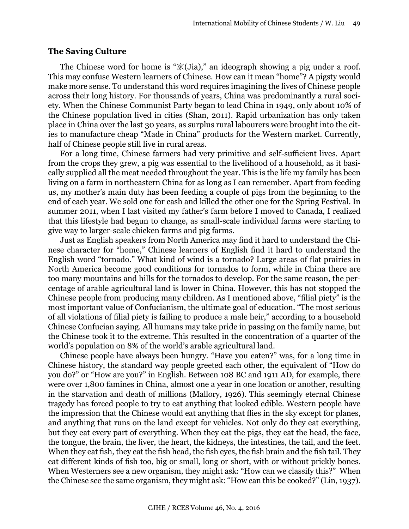#### **The Saving Culture**

The Chinese word for home is " $\mathcal{R}(Jia)$ ," an ideograph showing a pig under a roof. This may confuse Western learners of Chinese. How can it mean "home"? A pigsty would make more sense. To understand this word requires imagining the lives of Chinese people across their long history. For thousands of years, China was predominantly a rural society. When the Chinese Communist Party began to lead China in 1949, only about 10% of the Chinese population lived in cities (Shan, 2011). Rapid urbanization has only taken place in China over the last 30 years, as surplus rural labourers were brought into the cities to manufacture cheap "Made in China" products for the Western market. Currently, half of Chinese people still live in rural areas.

For a long time, Chinese farmers had very primitive and self-sufficient lives. Apart from the crops they grew, a pig was essential to the livelihood of a household, as it basically supplied all the meat needed throughout the year. This is the life my family has been living on a farm in northeastern China for as long as I can remember. Apart from feeding us, my mother's main duty has been feeding a couple of pigs from the beginning to the end of each year. We sold one for cash and killed the other one for the Spring Festival. In summer 2011, when I last visited my father's farm before I moved to Canada, I realized that this lifestyle had begun to change, as small-scale individual farms were starting to give way to larger-scale chicken farms and pig farms.

Just as English speakers from North America may find it hard to understand the Chinese character for "home," Chinese learners of English find it hard to understand the English word "tornado." What kind of wind is a tornado? Large areas of flat prairies in North America become good conditions for tornados to form, while in China there are too many mountains and hills for the tornados to develop. For the same reason, the percentage of arable agricultural land is lower in China. However, this has not stopped the Chinese people from producing many children. As I mentioned above, "filial piety" is the most important value of Confucianism, the ultimate goal of education. "The most serious of all violations of filial piety is failing to produce a male heir," according to a household Chinese Confucian saying. All humans may take pride in passing on the family name, but the Chinese took it to the extreme. This resulted in the concentration of a quarter of the world's population on 8% of the world's arable agricultural land.

Chinese people have always been hungry. "Have you eaten?" was, for a long time in Chinese history, the standard way people greeted each other, the equivalent of "How do you do?" or "How are you?" in English. Between 108 BC and 1911 AD, for example, there were over 1,800 famines in China, almost one a year in one location or another, resulting in the starvation and death of millions (Mallory, 1926). This seemingly eternal Chinese tragedy has forced people to try to eat anything that looked edible. Western people have the impression that the Chinese would eat anything that flies in the sky except for planes, and anything that runs on the land except for vehicles. Not only do they eat everything, but they eat every part of everything. When they eat the pigs, they eat the head, the face, the tongue, the brain, the liver, the heart, the kidneys, the intestines, the tail, and the feet. When they eat fish, they eat the fish head, the fish eyes, the fish brain and the fish tail. They eat different kinds of fish too, big or small, long or short, with or without prickly bones. When Westerners see a new organism, they might ask: "How can we classify this?" When the Chinese see the same organism, they might ask: "How can this be cooked?" (Lin, 1937).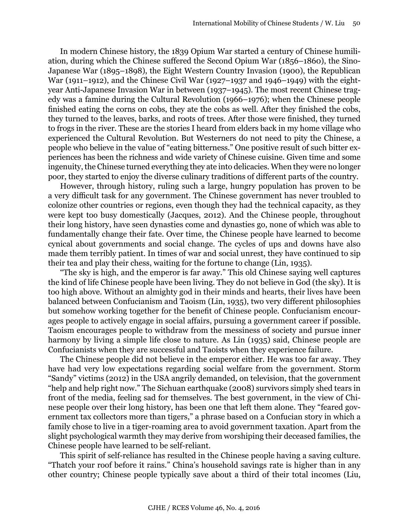In modern Chinese history, the 1839 Opium War started a century of Chinese humiliation, during which the Chinese suffered the Second Opium War (1856–1860), the Sino-Japanese War (1895–1898), the Eight Western Country Invasion (1900), the Republican War (1911–1912), and the Chinese Civil War (1927–1937 and 1946–1949) with the eightyear Anti-Japanese Invasion War in between (1937–1945). The most recent Chinese tragedy was a famine during the Cultural Revolution (1966–1976); when the Chinese people finished eating the corns on cobs, they ate the cobs as well. After they finished the cobs, they turned to the leaves, barks, and roots of trees. After those were finished, they turned to frogs in the river. These are the stories I heard from elders back in my home village who experienced the Cultural Revolution. But Westerners do not need to pity the Chinese, a people who believe in the value of "eating bitterness." One positive result of such bitter experiences has been the richness and wide variety of Chinese cuisine. Given time and some ingenuity, the Chinese turned everything they ate into delicacies. When they were no longer poor, they started to enjoy the diverse culinary traditions of different parts of the country.

However, through history, ruling such a large, hungry population has proven to be a very difficult task for any government. The Chinese government has never troubled to colonize other countries or regions, even though they had the technical capacity, as they were kept too busy domestically (Jacques, 2012). And the Chinese people, throughout their long history, have seen dynasties come and dynasties go, none of which was able to fundamentally change their fate. Over time, the Chinese people have learned to become cynical about governments and social change. The cycles of ups and downs have also made them terribly patient. In times of war and social unrest, they have continued to sip their tea and play their chess, waiting for the fortune to change (Lin, 1935).

"The sky is high, and the emperor is far away." This old Chinese saying well captures the kind of life Chinese people have been living. They do not believe in God (the sky). It is too high above. Without an almighty god in their minds and hearts, their lives have been balanced between Confucianism and Taoism (Lin, 1935), two very different philosophies but somehow working together for the benefit of Chinese people. Confucianism encourages people to actively engage in social affairs, pursuing a government career if possible. Taoism encourages people to withdraw from the messiness of society and pursue inner harmony by living a simple life close to nature. As Lin (1935) said, Chinese people are Confucianists when they are successful and Taoists when they experience failure.

The Chinese people did not believe in the emperor either. He was too far away. They have had very low expectations regarding social welfare from the government. Storm "Sandy" victims (2012) in the USA angrily demanded, on television, that the government "help and help right now." The Sichuan earthquake (2008) survivors simply shed tears in front of the media, feeling sad for themselves. The best government, in the view of Chinese people over their long history, has been one that left them alone. They "feared government tax collectors more than tigers," a phrase based on a Confucian story in which a family chose to live in a tiger-roaming area to avoid government taxation. Apart from the slight psychological warmth they may derive from worshiping their deceased families, the Chinese people have learned to be self-reliant.

This spirit of self-reliance has resulted in the Chinese people having a saving culture. "Thatch your roof before it rains." China's household savings rate is higher than in any other country; Chinese people typically save about a third of their total incomes (Liu,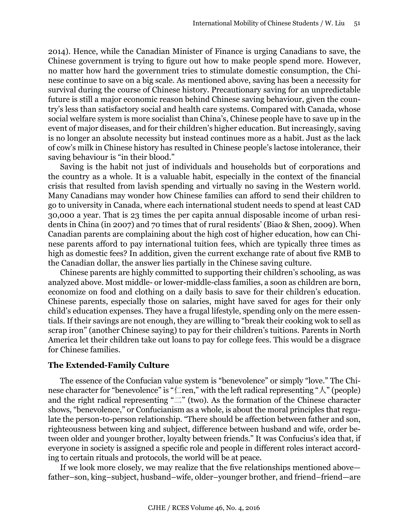2014). Hence, while the Canadian Minister of Finance is urging Canadians to save, the Chinese government is trying to figure out how to make people spend more. However, no matter how hard the government tries to stimulate domestic consumption, the Chinese continue to save on a big scale. As mentioned above, saving has been a necessity for survival during the course of Chinese history. Precautionary saving for an unpredictable future is still a major economic reason behind Chinese saving behaviour, given the country's less than satisfactory social and health care systems. Compared with Canada, whose social welfare system is more socialist than China's, Chinese people have to save up in the event of major diseases, and for their children's higher education. But increasingly, saving is no longer an absolute necessity but instead continues more as a habit. Just as the lack of cow's milk in Chinese history has resulted in Chinese people's lactose intolerance, their saving behaviour is "in their blood."

Saving is the habit not just of individuals and households but of corporations and the country as a whole. It is a valuable habit, especially in the context of the financial crisis that resulted from lavish spending and virtually no saving in the Western world. Many Canadians may wonder how Chinese families can afford to send their children to go to university in Canada, where each international student needs to spend at least CAD 30,000 a year. That is 23 times the per capita annual disposable income of urban residents in China (in 2007) and 70 times that of rural residents' (Biao & Shen, 2009). When Canadian parents are complaining about the high cost of higher education, how can Chinese parents afford to pay international tuition fees, which are typically three times as high as domestic fees? In addition, given the current exchange rate of about five RMB to the Canadian dollar, the answer lies partially in the Chinese saving culture.

Chinese parents are highly committed to supporting their children's schooling, as was analyzed above. Most middle- or lower-middle-class families, a soon as children are born, economize on food and clothing on a daily basis to save for their children's education. Chinese parents, especially those on salaries, might have saved for ages for their only child's education expenses. They have a frugal lifestyle, spending only on the mere essentials. If their savings are not enough, they are willing to "break their cooking wok to sell as scrap iron" (another Chinese saying) to pay for their children's tuitions. Parents in North America let their children take out loans to pay for college fees. This would be a disgrace for Chinese families.

## **The Extended-Family Culture**

The essence of the Confucian value system is "benevolence" or simply "love." The Chinese character for "benevolence" is " $\sqsubset$ ren," with the left radical representing " $\wedge$ " (people) and the right radical representing " $\equiv$ " (two). As the formation of the Chinese character shows, "benevolence," or Confucianism as a whole, is about the moral principles that regulate the person-to-person relationship. "There should be affection between father and son, righteousness between king and subject, difference between husband and wife, order between older and younger brother, loyalty between friends." It was Confucius's idea that, if everyone in society is assigned a specific role and people in different roles interact according to certain rituals and protocols, the world will be at peace.

If we look more closely, we may realize that the five relationships mentioned above father–son, king–subject, husband–wife, older–younger brother, and friend–friend—are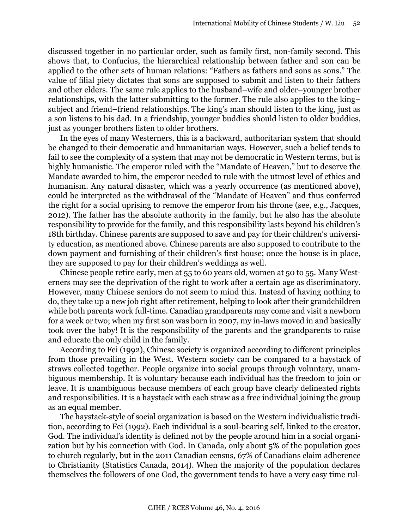discussed together in no particular order, such as family first, non-family second. This shows that, to Confucius, the hierarchical relationship between father and son can be applied to the other sets of human relations: "Fathers as fathers and sons as sons." The value of filial piety dictates that sons are supposed to submit and listen to their fathers and other elders. The same rule applies to the husband–wife and older–younger brother relationships, with the latter submitting to the former. The rule also applies to the king– subject and friend–friend relationships. The king's man should listen to the king, just as a son listens to his dad. In a friendship, younger buddies should listen to older buddies, just as younger brothers listen to older brothers.

In the eyes of many Westerners, this is a backward, authoritarian system that should be changed to their democratic and humanitarian ways. However, such a belief tends to fail to see the complexity of a system that may not be democratic in Western terms, but is highly humanistic. The emperor ruled with the "Mandate of Heaven," but to deserve the Mandate awarded to him, the emperor needed to rule with the utmost level of ethics and humanism. Any natural disaster, which was a yearly occurrence (as mentioned above), could be interpreted as the withdrawal of the "Mandate of Heaven" and thus conferred the right for a social uprising to remove the emperor from his throne (see, e.g., Jacques, 2012). The father has the absolute authority in the family, but he also has the absolute responsibility to provide for the family, and this responsibility lasts beyond his children's 18th birthday. Chinese parents are supposed to save and pay for their children's university education, as mentioned above. Chinese parents are also supposed to contribute to the down payment and furnishing of their children's first house; once the house is in place, they are supposed to pay for their children's weddings as well.

Chinese people retire early, men at 55 to 60 years old, women at 50 to 55. Many Westerners may see the deprivation of the right to work after a certain age as discriminatory. However, many Chinese seniors do not seem to mind this. Instead of having nothing to do, they take up a new job right after retirement, helping to look after their grandchildren while both parents work full-time. Canadian grandparents may come and visit a newborn for a week or two; when my first son was born in 2007, my in-laws moved in and basically took over the baby! It is the responsibility of the parents and the grandparents to raise and educate the only child in the family.

According to Fei (1992), Chinese society is organized according to different principles from those prevailing in the West. Western society can be compared to a haystack of straws collected together. People organize into social groups through voluntary, unambiguous membership. It is voluntary because each individual has the freedom to join or leave. It is unambiguous because members of each group have clearly delineated rights and responsibilities. It is a haystack with each straw as a free individual joining the group as an equal member.

The haystack-style of social organization is based on the Western individualistic tradition, according to Fei (1992). Each individual is a soul-bearing self, linked to the creator, God. The individual's identity is defined not by the people around him in a social organization but by his connection with God. In Canada, only about 5% of the population goes to church regularly, but in the 2011 Canadian census, 67% of Canadians claim adherence to Christianity (Statistics Canada, 2014). When the majority of the population declares themselves the followers of one God, the government tends to have a very easy time rul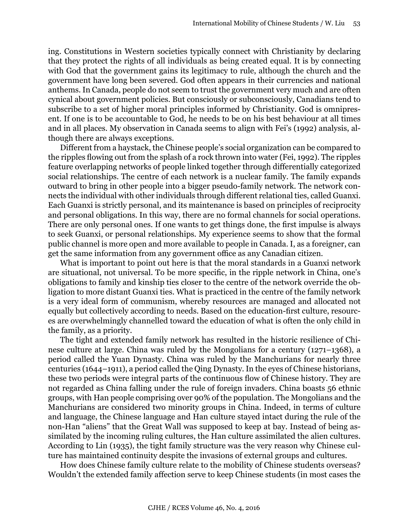ing. Constitutions in Western societies typically connect with Christianity by declaring that they protect the rights of all individuals as being created equal. It is by connecting with God that the government gains its legitimacy to rule, although the church and the government have long been severed. God often appears in their currencies and national anthems. In Canada, people do not seem to trust the government very much and are often cynical about government policies. But consciously or subconsciously, Canadians tend to subscribe to a set of higher moral principles informed by Christianity. God is omnipresent. If one is to be accountable to God, he needs to be on his best behaviour at all times and in all places. My observation in Canada seems to align with Fei's (1992) analysis, although there are always exceptions.

Different from a haystack, the Chinese people's social organization can be compared to the ripples flowing out from the splash of a rock thrown into water (Fei, 1992). The ripples feature overlapping networks of people linked together through differentially categorized social relationships. The centre of each network is a nuclear family. The family expands outward to bring in other people into a bigger pseudo-family network. The network connects the individual with other individuals through different relational ties, called Guanxi. Each Guanxi is strictly personal, and its maintenance is based on principles of reciprocity and personal obligations. In this way, there are no formal channels for social operations. There are only personal ones. If one wants to get things done, the first impulse is always to seek Guanxi, or personal relationships. My experience seems to show that the formal public channel is more open and more available to people in Canada. I, as a foreigner, can get the same information from any government office as any Canadian citizen.

What is important to point out here is that the moral standards in a Guanxi network are situational, not universal. To be more specific, in the ripple network in China, one's obligations to family and kinship ties closer to the centre of the network override the obligation to more distant Guanxi ties. What is practiced in the centre of the family network is a very ideal form of communism, whereby resources are managed and allocated not equally but collectively according to needs. Based on the education-first culture, resources are overwhelmingly channelled toward the education of what is often the only child in the family, as a priority.

The tight and extended family network has resulted in the historic resilience of Chinese culture at large. China was ruled by the Mongolians for a century (1271–1368), a period called the Yuan Dynasty. China was ruled by the Manchurians for nearly three centuries (1644–1911), a period called the Qing Dynasty. In the eyes of Chinese historians, these two periods were integral parts of the continuous flow of Chinese history. They are not regarded as China falling under the rule of foreign invaders. China boasts 56 ethnic groups, with Han people comprising over 90% of the population. The Mongolians and the Manchurians are considered two minority groups in China. Indeed, in terms of culture and language, the Chinese language and Han culture stayed intact during the rule of the non-Han "aliens" that the Great Wall was supposed to keep at bay. Instead of being assimilated by the incoming ruling cultures, the Han culture assimilated the alien cultures. According to Lin (1935), the tight family structure was the very reason why Chinese culture has maintained continuity despite the invasions of external groups and cultures.

How does Chinese family culture relate to the mobility of Chinese students overseas? Wouldn't the extended family affection serve to keep Chinese students (in most cases the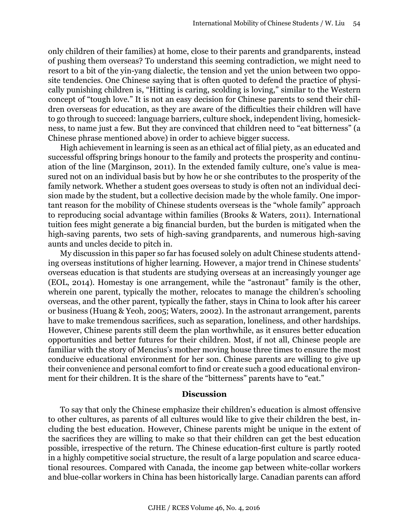only children of their families) at home, close to their parents and grandparents, instead of pushing them overseas? To understand this seeming contradiction, we might need to resort to a bit of the yin-yang dialectic, the tension and yet the union between two opposite tendencies. One Chinese saying that is often quoted to defend the practice of physically punishing children is, "Hitting is caring, scolding is loving," similar to the Western concept of "tough love." It is not an easy decision for Chinese parents to send their children overseas for education, as they are aware of the difficulties their children will have to go through to succeed: language barriers, culture shock, independent living, homesickness, to name just a few. But they are convinced that children need to "eat bitterness" (a Chinese phrase mentioned above) in order to achieve bigger success.

High achievement in learning is seen as an ethical act of filial piety, as an educated and successful offspring brings honour to the family and protects the prosperity and continuation of the line (Marginson, 2011). In the extended family culture, one's value is measured not on an individual basis but by how he or she contributes to the prosperity of the family network. Whether a student goes overseas to study is often not an individual decision made by the student, but a collective decision made by the whole family. One important reason for the mobility of Chinese students overseas is the "whole family" approach to reproducing social advantage within families (Brooks & Waters, 2011). International tuition fees might generate a big financial burden, but the burden is mitigated when the high-saving parents, two sets of high-saving grandparents, and numerous high-saving aunts and uncles decide to pitch in.

My discussion in this paper so far has focused solely on adult Chinese students attending overseas institutions of higher learning. However, a major trend in Chinese students' overseas education is that students are studying overseas at an increasingly younger age (EOL, 2014). Homestay is one arrangement, while the "astronaut" family is the other, wherein one parent, typically the mother, relocates to manage the children's schooling overseas, and the other parent, typically the father, stays in China to look after his career or business (Huang & Yeoh, 2005; Waters, 2002). In the astronaut arrangement, parents have to make tremendous sacrifices, such as separation, loneliness, and other hardships. However, Chinese parents still deem the plan worthwhile, as it ensures better education opportunities and better futures for their children. Most, if not all, Chinese people are familiar with the story of Mencius's mother moving house three times to ensure the most conducive educational environment for her son. Chinese parents are willing to give up their convenience and personal comfort to find or create such a good educational environment for their children. It is the share of the "bitterness" parents have to "eat."

#### **Discussion**

To say that only the Chinese emphasize their children's education is almost offensive to other cultures, as parents of all cultures would like to give their children the best, including the best education. However, Chinese parents might be unique in the extent of the sacrifices they are willing to make so that their children can get the best education possible, irrespective of the return. The Chinese education-first culture is partly rooted in a highly competitive social structure, the result of a large population and scarce educational resources. Compared with Canada, the income gap between white-collar workers and blue-collar workers in China has been historically large. Canadian parents can afford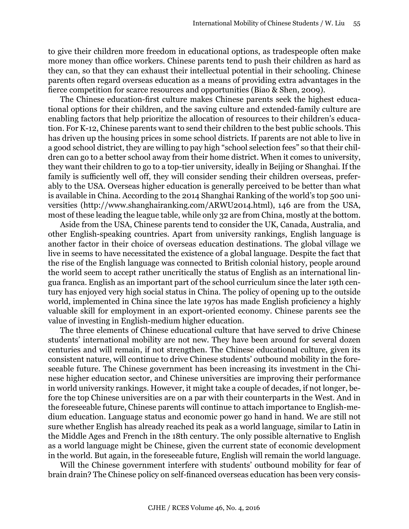to give their children more freedom in educational options, as tradespeople often make more money than office workers. Chinese parents tend to push their children as hard as they can, so that they can exhaust their intellectual potential in their schooling. Chinese parents often regard overseas education as a means of providing extra advantages in the fierce competition for scarce resources and opportunities (Biao & Shen, 2009).

The Chinese education-first culture makes Chinese parents seek the highest educational options for their children, and the saving culture and extended-family culture are enabling factors that help prioritize the allocation of resources to their children's education. For K-12, Chinese parents want to send their children to the best public schools. This has driven up the housing prices in some school districts. If parents are not able to live in a good school district, they are willing to pay high "school selection fees" so that their children can go to a better school away from their home district. When it comes to university, they want their children to go to a top-tier university, ideally in Beijing or Shanghai. If the family is sufficiently well off, they will consider sending their children overseas, preferably to the USA. Overseas higher education is generally perceived to be better than what is available in China. According to the 2014 Shanghai Ranking of the world's top 500 universities (http://www.shanghairanking.com/ARWU2014.html), 146 are from the USA, most of these leading the league table, while only 32 are from China, mostly at the bottom.

Aside from the USA, Chinese parents tend to consider the UK, Canada, Australia, and other English-speaking countries. Apart from university rankings, English language is another factor in their choice of overseas education destinations. The global village we live in seems to have necessitated the existence of a global language. Despite the fact that the rise of the English language was connected to British colonial history, people around the world seem to accept rather uncritically the status of English as an international lingua franca. English as an important part of the school curriculum since the later 19th century has enjoyed very high social status in China. The policy of opening up to the outside world, implemented in China since the late 1970s has made English proficiency a highly valuable skill for employment in an export-oriented economy. Chinese parents see the value of investing in English-medium higher education.

The three elements of Chinese educational culture that have served to drive Chinese students' international mobility are not new. They have been around for several dozen centuries and will remain, if not strengthen. The Chinese educational culture, given its consistent nature, will continue to drive Chinese students' outbound mobility in the foreseeable future. The Chinese government has been increasing its investment in the Chinese higher education sector, and Chinese universities are improving their performance in world university rankings. However, it might take a couple of decades, if not longer, before the top Chinese universities are on a par with their counterparts in the West. And in the foreseeable future, Chinese parents will continue to attach importance to English-medium education. Language status and economic power go hand in hand. We are still not sure whether English has already reached its peak as a world language, similar to Latin in the Middle Ages and French in the 18th century. The only possible alternative to English as a world language might be Chinese, given the current state of economic development in the world. But again, in the foreseeable future, English will remain the world language.

Will the Chinese government interfere with students' outbound mobility for fear of brain drain? The Chinese policy on self-financed overseas education has been very consis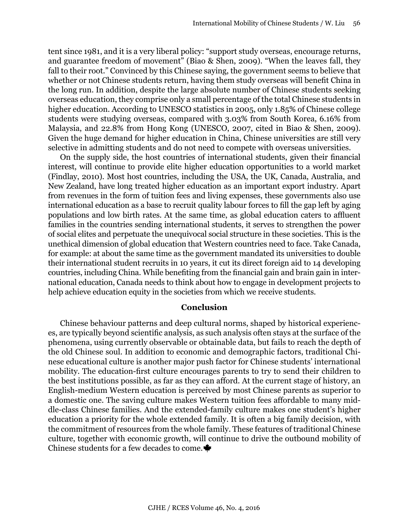tent since 1981, and it is a very liberal policy: "support study overseas, encourage returns, and guarantee freedom of movement" (Biao & Shen, 2009). "When the leaves fall, they fall to their root." Convinced by this Chinese saying, the government seems to believe that whether or not Chinese students return, having them study overseas will benefit China in the long run. In addition, despite the large absolute number of Chinese students seeking overseas education, they comprise only a small percentage of the total Chinese students in higher education. According to UNESCO statistics in 2005, only 1.85% of Chinese college students were studying overseas, compared with 3.03% from South Korea, 6.16% from Malaysia, and 22.8% from Hong Kong (UNESCO, 2007, cited in Biao & Shen, 2009). Given the huge demand for higher education in China, Chinese universities are still very selective in admitting students and do not need to compete with overseas universities.

On the supply side, the host countries of international students, given their financial interest, will continue to provide elite higher education opportunities to a world market (Findlay, 2010). Most host countries, including the USA, the UK, Canada, Australia, and New Zealand, have long treated higher education as an important export industry. Apart from revenues in the form of tuition fees and living expenses, these governments also use international education as a base to recruit quality labour forces to fill the gap left by aging populations and low birth rates. At the same time, as global education caters to affluent families in the countries sending international students, it serves to strengthen the power of social elites and perpetuate the unequivocal social structure in these societies. This is the unethical dimension of global education that Western countries need to face. Take Canada, for example: at about the same time as the government mandated its universities to double their international student recruits in 10 years, it cut its direct foreign aid to 14 developing countries, including China. While benefiting from the financial gain and brain gain in international education, Canada needs to think about how to engage in development projects to help achieve education equity in the societies from which we receive students.

#### **Conclusion**

Chinese behaviour patterns and deep cultural norms, shaped by historical experiences, are typically beyond scientific analysis, as such analysis often stays at the surface of the phenomena, using currently observable or obtainable data, but fails to reach the depth of the old Chinese soul. In addition to economic and demographic factors, traditional Chinese educational culture is another major push factor for Chinese students' international mobility. The education-first culture encourages parents to try to send their children to the best institutions possible, as far as they can afford. At the current stage of history, an English-medium Western education is perceived by most Chinese parents as superior to a domestic one. The saving culture makes Western tuition fees affordable to many middle-class Chinese families. And the extended-family culture makes one student's higher education a priority for the whole extended family. It is often a big family decision, with the commitment of resources from the whole family. These features of traditional Chinese culture, together with economic growth, will continue to drive the outbound mobility of Chinese students for a few decades to come.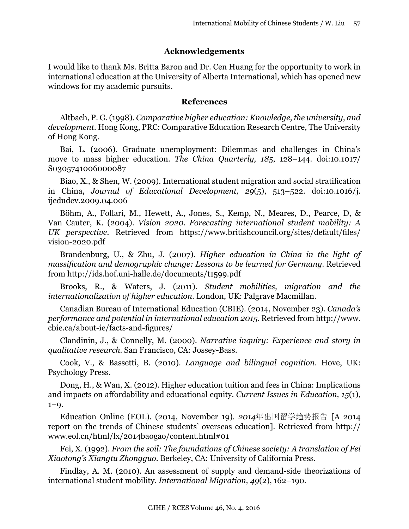## **Acknowledgements**

I would like to thank Ms. Britta Baron and Dr. Cen Huang for the opportunity to work in international education at the University of Alberta International, which has opened new windows for my academic pursuits.

#### **References**

Altbach, P. G. (1998). *Comparative higher education: Knowledge, the university, and development*. Hong Kong, PRC: Comparative Education Research Centre, The University of Hong Kong.

Bai, L. (2006). Graduate unemployment: Dilemmas and challenges in China's move to mass higher education. *The China Quarterly, 185*, 128–144. doi:10.1017/ S0305741006000087

Biao, X., & Shen, W. (2009). International student migration and social stratification in China, *Journal of Educational Development, 29*(5), 513–522. doi:10.1016/j. ijedudev.2009.04.006

Böhm, A., Follari, M., Hewett, A., Jones, S., Kemp, N., Meares, D., Pearce, D, & Van Cauter, K. (2004). *Vision 2020. Forecasting international student mobility: A UK perspective*. Retrieved from [https://www.britishcouncil.org/sites/default/files/](https://www.britishcouncil.org/sites/default/files/vision-2020.pdf) [vision-2020.pdf](https://www.britishcouncil.org/sites/default/files/vision-2020.pdf)

Brandenburg, U., & Zhu, J. (2007). *Higher education in China in the light of massification and demographic change: Lessons to be learned for Germany*. Retrieved from http://ids.hof.uni-halle.de/documents/t1599.pdf

Brooks, R., & Waters, J. (2011). *Student mobilities, migration and the internationalization of higher education*. London, UK: Palgrave Macmillan.

Canadian Bureau of International Education (CBIE). (2014, November 23). *Canada's performance and potential in international education 2015*. Retrieved from [http://www.](http://www.cbie.ca/about-ie/facts-and-figures/) [cbie.ca/about-ie/facts-and-figures/](http://www.cbie.ca/about-ie/facts-and-figures/)

Clandinin, J., & Connelly, M. (2000). *Narrative inquiry: Experience and story in qualitative research.* San Francisco, CA: Jossey-Bass.

Cook, V., & Bassetti, B. (2010). *Language and bilingual cognition*. Hove, UK: Psychology Press.

Dong, H., & Wan, X. (2012). Higher education tuition and fees in China: Implications and impacts on affordability and educational equity. *Current Issues in Education, 15*(1),  $1 - 9.$ 

Education Online (EOL). (2014, November 19). *2014*年出国留学趋势报告 [A 2014 report on the trends of Chinese students' overseas education]. Retrieved from http:// www.eol.cn/html/lx/2014baogao/content.html#01

Fei, X. (1992). *From the soil: The foundations of Chinese society: A translation of Fei Xiaotong's Xiangtu Zhongguo.* Berkeley, CA: University of California Press.

Findlay, A. M. (2010). An assessment of supply and demand-side theorizations of international student mobility. *International Migration, 49*(2), 162–190.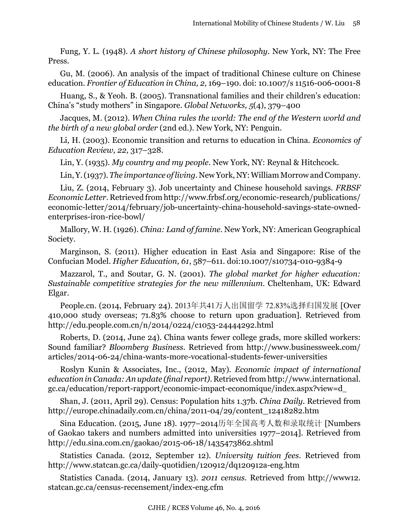Fung, Y. L. (1948). *A short history of Chinese philosophy*. New York, NY: The Free Press.

Gu, M. (2006). An analysis of the impact of traditional Chinese culture on Chinese education. *Frontier of Education in China, 2*, 169–190. doi: 10.1007/s 11516-006-0001-8

Huang, S., & Yeoh. B. (2005). Transnational families and their children's education: China's "study mothers" in Singapore. *Global Networks, 5*(4), 379–400

Jacques, M. (2012). *When China rules the world: The end of the Western world and the birth of a new global order* (2nd ed.). New York, NY: Penguin.

Li, H. (2003). Economic transition and returns to education in China. *Economics of Education Review, 22*, 317–328.

Lin, Y. (1935). *My country and my people*. New York, NY: Reynal & Hitchcock.

Lin, Y. (1937). *The importance of living*. New York, NY: William Morrow and Company.

Liu, Z. (2014, February 3). Job uncertainty and Chinese household savings. *FRBSF Economic Letter*. Retrieved from http://www.frbsf.org/economic-research/publications/ economic-letter/2014/february/job-uncertainty-china-household-savings-state-ownedenterprises-iron-rice-bowl/

Mallory, W. H. (1926). *China: Land of famine*. New York, NY: American Geographical Society.

Marginson, S. (2011). Higher education in East Asia and Singapore: Rise of the Confucian Model. *Higher Education, 61*, 587–611. doi:10.1007/s10734-010-9384-9

Mazzarol, T., and Soutar, G. N. (2001). *The global market for higher education: Sustainable competitive strategies for the new millennium*. Cheltenham, UK: Edward Elgar.

People.cn. (2014, February 24). 2013年共41万人出国留学 72.83%选择归国发展 [Over 410,000 study overseas; 71.83% choose to return upon graduation]. Retrieved from <http://edu.people.com.cn/n/2014/0224/c1053-24444292.html>

Roberts, D. (2014, June 24). China wants fewer college grads, more skilled workers: Sound familiar? *Bloomberg Business*. Retrieved from [http://www.businessweek.com/](http://www.businessweek.com/articles/2014-06-24/china-wants-more-vocational-students-fewer-universities) [articles/2014-06-24/china-wants-more-vocational-students-fewer-universities](http://www.businessweek.com/articles/2014-06-24/china-wants-more-vocational-students-fewer-universities)

Roslyn Kunin & Associates, Inc., (2012, May). *Economic impact of international education in Canada: An update (final report)*. Retrieved from [http://www.international.](http://www.international.gc.ca/education/report-rapport/economic-impact-economique/index.aspx?view=d) [gc.ca/education/report-rapport/economic-impact-economique/index.aspx?view=d](http://www.international.gc.ca/education/report-rapport/economic-impact-economique/index.aspx?view=d)

Shan, J. (2011, April 29). Census: Population hits 1.37b. *China Daily*. Retrieved from http://europe.chinadaily.com.cn/china/2011-04/29/content\_12418282.htm

Sina Education. (2015, June 18). 1977–2014历年全国高考人数和录取统计 [Numbers of Gaokao takers and numbers admitted into universities 1977–2014]. Retrieved from <http://edu.sina.com.cn/gaokao/2015-06-18/1435473862.shtml>

Statistics Canada. (2012, September 12). *University tuition fees*. Retrieved from <http://www.statcan.gc.ca/daily-quotidien/120912/dq120912a-eng.htm>

Statistics Canada. (2014, January 13). *2011 census*. Retrieved from http://www12. statcan.gc.ca/census-recensement/index-eng.cfm